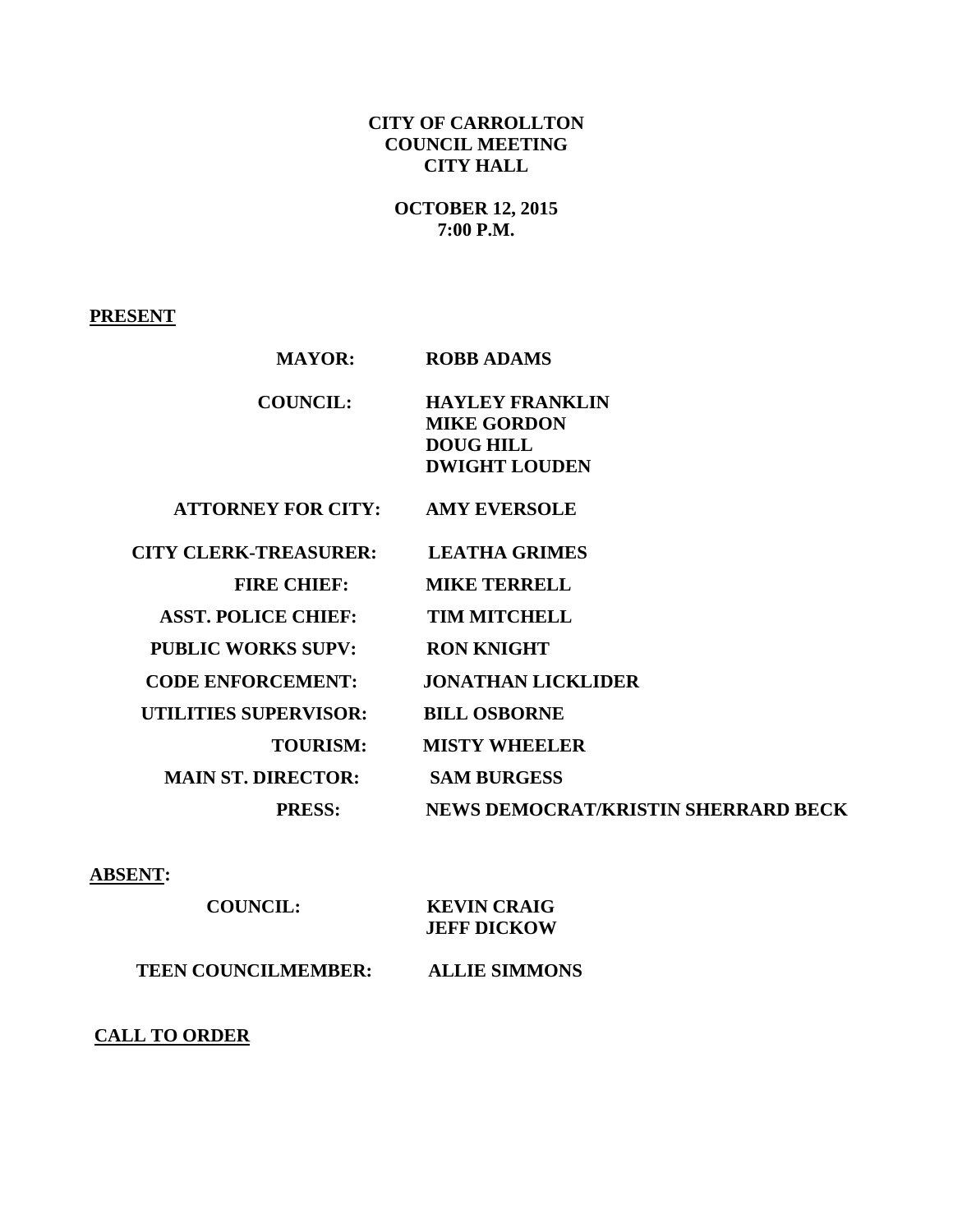### **CITY OF CARROLLTON COUNCIL MEETING CITY HALL**

**OCTOBER 12, 2015 7:00 P.M.**

**PRESENT**

| <b>MAYOR:</b>                | <b>ROBB ADAMS</b>                                                                        |
|------------------------------|------------------------------------------------------------------------------------------|
| <b>COUNCIL:</b>              | <b>HAYLEY FRANKLIN</b><br><b>MIKE GORDON</b><br><b>DOUG HILL</b><br><b>DWIGHT LOUDEN</b> |
| <b>ATTORNEY FOR CITY:</b>    | <b>AMY EVERSOLE</b>                                                                      |
| <b>CITY CLERK-TREASURER:</b> | <b>LEATHA GRIMES</b>                                                                     |
| <b>FIRE CHIEF:</b>           | <b>MIKE TERRELL</b>                                                                      |
| <b>ASST. POLICE CHIEF:</b>   | <b>TIM MITCHELL</b>                                                                      |
| <b>PUBLIC WORKS SUPV:</b>    | <b>RON KNIGHT</b>                                                                        |
| <b>CODE ENFORCEMENT:</b>     | <b>JONATHAN LICKLIDER</b>                                                                |
| <b>UTILITIES SUPERVISOR:</b> | <b>BILL OSBORNE</b>                                                                      |
| <b>TOURISM:</b>              | <b>MISTY WHEELER</b>                                                                     |
| <b>MAIN ST. DIRECTOR:</b>    | <b>SAM BURGESS</b>                                                                       |
| <b>PRESS:</b>                | NEWS DEMOCRAT/KRISTIN SHERRARD BECK                                                      |
|                              |                                                                                          |

**ABSENT:**

 **COUNCIL: KEVIN CRAIG JEFF DICKOW TEEN COUNCILMEMBER: ALLIE SIMMONS**

#### **CALL TO ORDER**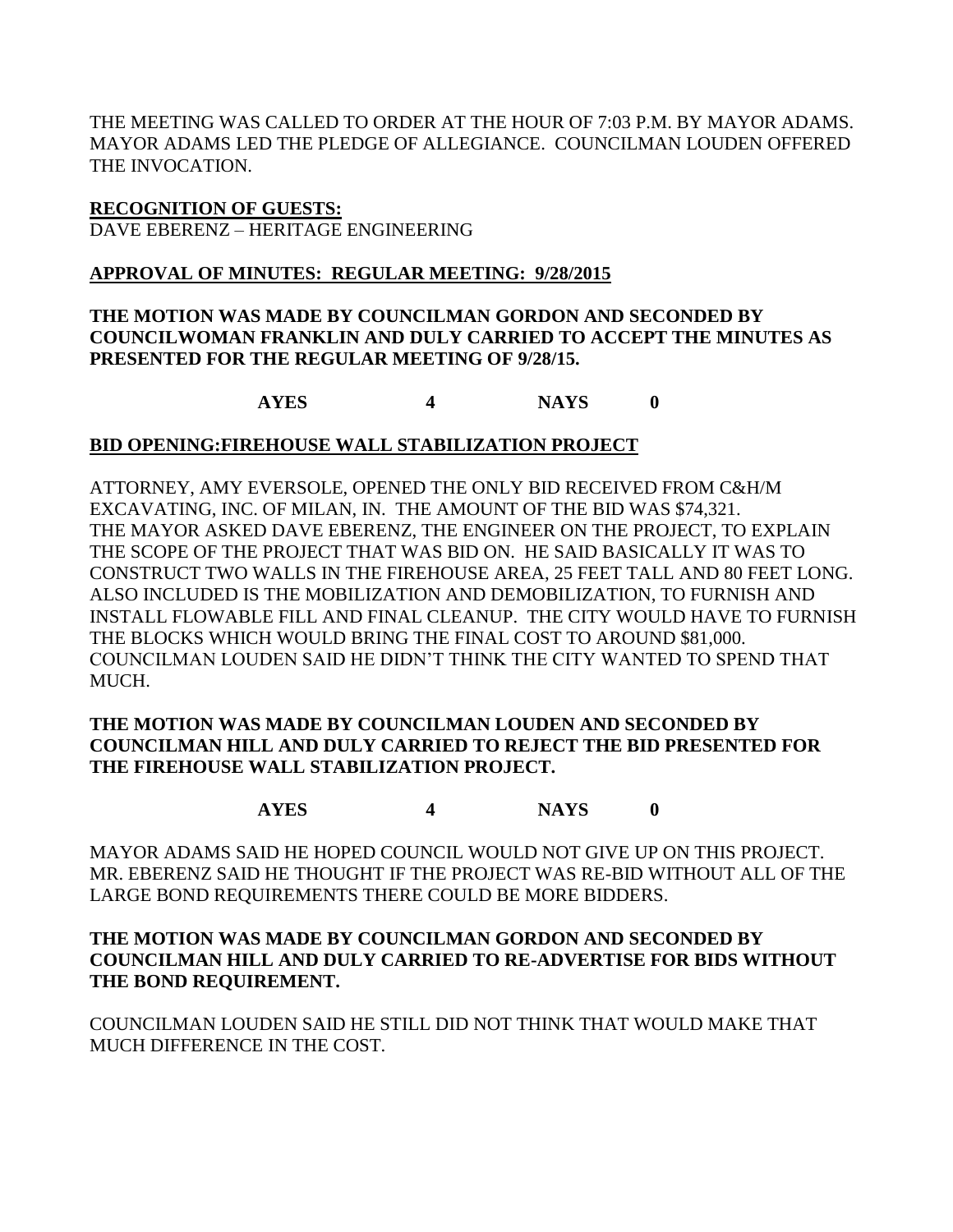THE MEETING WAS CALLED TO ORDER AT THE HOUR OF 7:03 P.M. BY MAYOR ADAMS. MAYOR ADAMS LED THE PLEDGE OF ALLEGIANCE. COUNCILMAN LOUDEN OFFERED THE INVOCATION.

**RECOGNITION OF GUESTS:** DAVE EBERENZ – HERITAGE ENGINEERING

### **APPROVAL OF MINUTES: REGULAR MEETING: 9/28/2015**

### **THE MOTION WAS MADE BY COUNCILMAN GORDON AND SECONDED BY COUNCILWOMAN FRANKLIN AND DULY CARRIED TO ACCEPT THE MINUTES AS PRESENTED FOR THE REGULAR MEETING OF 9/28/15.**

**AYES 4 NAYS 0**

### **BID OPENING:FIREHOUSE WALL STABILIZATION PROJECT**

ATTORNEY, AMY EVERSOLE, OPENED THE ONLY BID RECEIVED FROM C&H/M EXCAVATING, INC. OF MILAN, IN. THE AMOUNT OF THE BID WAS \$74,321. THE MAYOR ASKED DAVE EBERENZ, THE ENGINEER ON THE PROJECT, TO EXPLAIN THE SCOPE OF THE PROJECT THAT WAS BID ON. HE SAID BASICALLY IT WAS TO CONSTRUCT TWO WALLS IN THE FIREHOUSE AREA, 25 FEET TALL AND 80 FEET LONG. ALSO INCLUDED IS THE MOBILIZATION AND DEMOBILIZATION, TO FURNISH AND INSTALL FLOWABLE FILL AND FINAL CLEANUP. THE CITY WOULD HAVE TO FURNISH THE BLOCKS WHICH WOULD BRING THE FINAL COST TO AROUND \$81,000. COUNCILMAN LOUDEN SAID HE DIDN'T THINK THE CITY WANTED TO SPEND THAT MUCH.

### **THE MOTION WAS MADE BY COUNCILMAN LOUDEN AND SECONDED BY COUNCILMAN HILL AND DULY CARRIED TO REJECT THE BID PRESENTED FOR THE FIREHOUSE WALL STABILIZATION PROJECT.**

**AYES 4 NAYS 0**

MAYOR ADAMS SAID HE HOPED COUNCIL WOULD NOT GIVE UP ON THIS PROJECT. MR. EBERENZ SAID HE THOUGHT IF THE PROJECT WAS RE-BID WITHOUT ALL OF THE LARGE BOND REQUIREMENTS THERE COULD BE MORE BIDDERS.

### **THE MOTION WAS MADE BY COUNCILMAN GORDON AND SECONDED BY COUNCILMAN HILL AND DULY CARRIED TO RE-ADVERTISE FOR BIDS WITHOUT THE BOND REQUIREMENT.**

COUNCILMAN LOUDEN SAID HE STILL DID NOT THINK THAT WOULD MAKE THAT MUCH DIFFERENCE IN THE COST.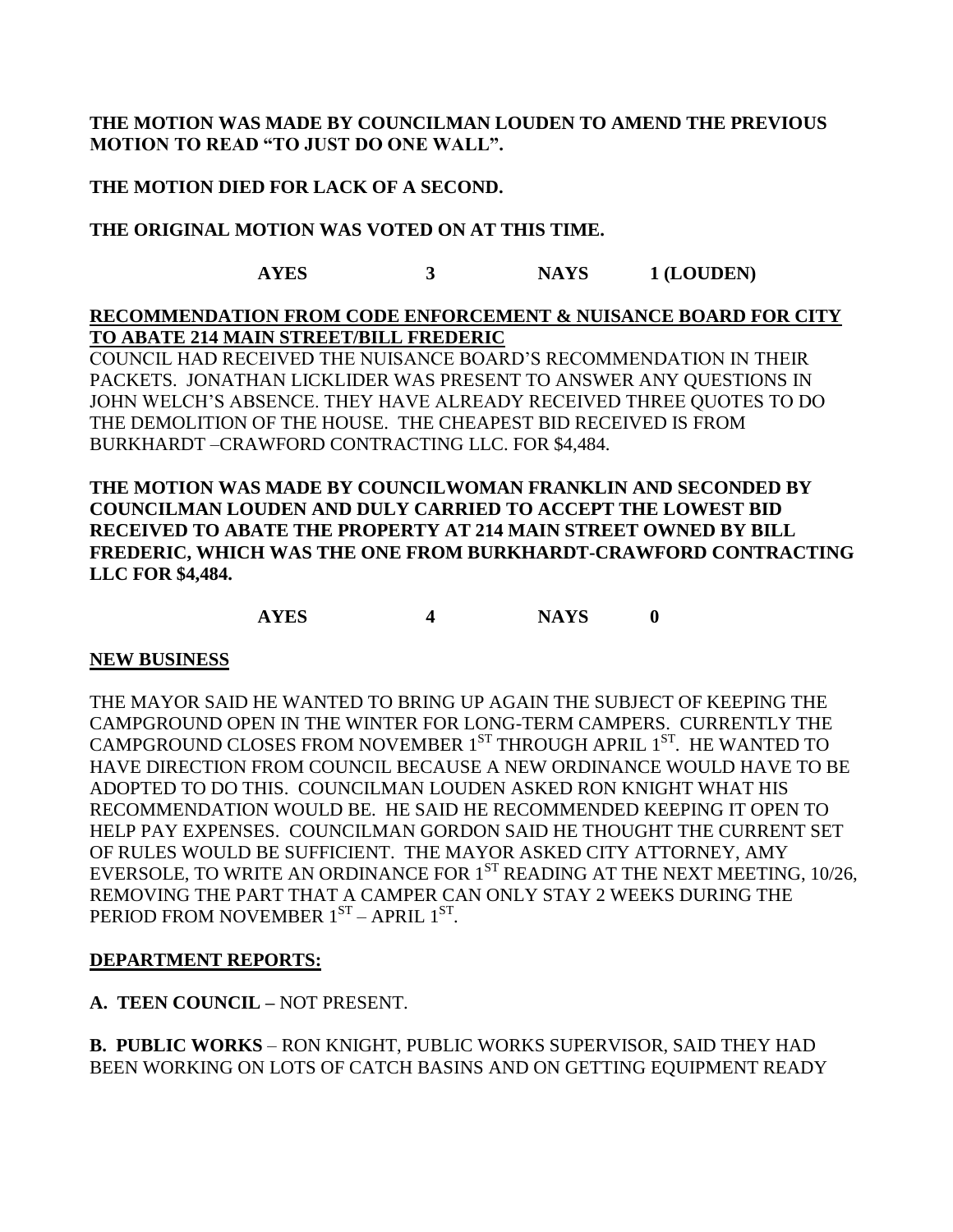### **THE MOTION WAS MADE BY COUNCILMAN LOUDEN TO AMEND THE PREVIOUS MOTION TO READ "TO JUST DO ONE WALL".**

### **THE MOTION DIED FOR LACK OF A SECOND.**

### **THE ORIGINAL MOTION WAS VOTED ON AT THIS TIME.**

# **AYES 3 NAYS 1 (LOUDEN)**

## **RECOMMENDATION FROM CODE ENFORCEMENT & NUISANCE BOARD FOR CITY TO ABATE 214 MAIN STREET/BILL FREDERIC**

COUNCIL HAD RECEIVED THE NUISANCE BOARD'S RECOMMENDATION IN THEIR PACKETS. JONATHAN LICKLIDER WAS PRESENT TO ANSWER ANY QUESTIONS IN JOHN WELCH'S ABSENCE. THEY HAVE ALREADY RECEIVED THREE QUOTES TO DO THE DEMOLITION OF THE HOUSE. THE CHEAPEST BID RECEIVED IS FROM BURKHARDT –CRAWFORD CONTRACTING LLC. FOR \$4,484.

**THE MOTION WAS MADE BY COUNCILWOMAN FRANKLIN AND SECONDED BY COUNCILMAN LOUDEN AND DULY CARRIED TO ACCEPT THE LOWEST BID RECEIVED TO ABATE THE PROPERTY AT 214 MAIN STREET OWNED BY BILL FREDERIC, WHICH WAS THE ONE FROM BURKHARDT-CRAWFORD CONTRACTING LLC FOR \$4,484.**

### **AYES 4 NAYS 0**

#### **NEW BUSINESS**

THE MAYOR SAID HE WANTED TO BRING UP AGAIN THE SUBJECT OF KEEPING THE CAMPGROUND OPEN IN THE WINTER FOR LONG-TERM CAMPERS. CURRENTLY THE CAMPGROUND CLOSES FROM NOVEMBER  $1<sup>ST</sup>$  THROUGH APRIL  $1<sup>ST</sup>$ . HE WANTED TO HAVE DIRECTION FROM COUNCIL BECAUSE A NEW ORDINANCE WOULD HAVE TO BE ADOPTED TO DO THIS. COUNCILMAN LOUDEN ASKED RON KNIGHT WHAT HIS RECOMMENDATION WOULD BE. HE SAID HE RECOMMENDED KEEPING IT OPEN TO HELP PAY EXPENSES. COUNCILMAN GORDON SAID HE THOUGHT THE CURRENT SET OF RULES WOULD BE SUFFICIENT. THE MAYOR ASKED CITY ATTORNEY, AMY EVERSOLE, TO WRITE AN ORDINANCE FOR  $1<sup>ST</sup>$  READING AT THE NEXT MEETING, 10/26, REMOVING THE PART THAT A CAMPER CAN ONLY STAY 2 WEEKS DURING THE PERIOD FROM NOVEMBER  $1^{ST}$  – APRIL  $1^{ST}$ .

#### **DEPARTMENT REPORTS:**

**A. TEEN COUNCIL –** NOT PRESENT.

**B. PUBLIC WORKS** – RON KNIGHT, PUBLIC WORKS SUPERVISOR, SAID THEY HAD BEEN WORKING ON LOTS OF CATCH BASINS AND ON GETTING EQUIPMENT READY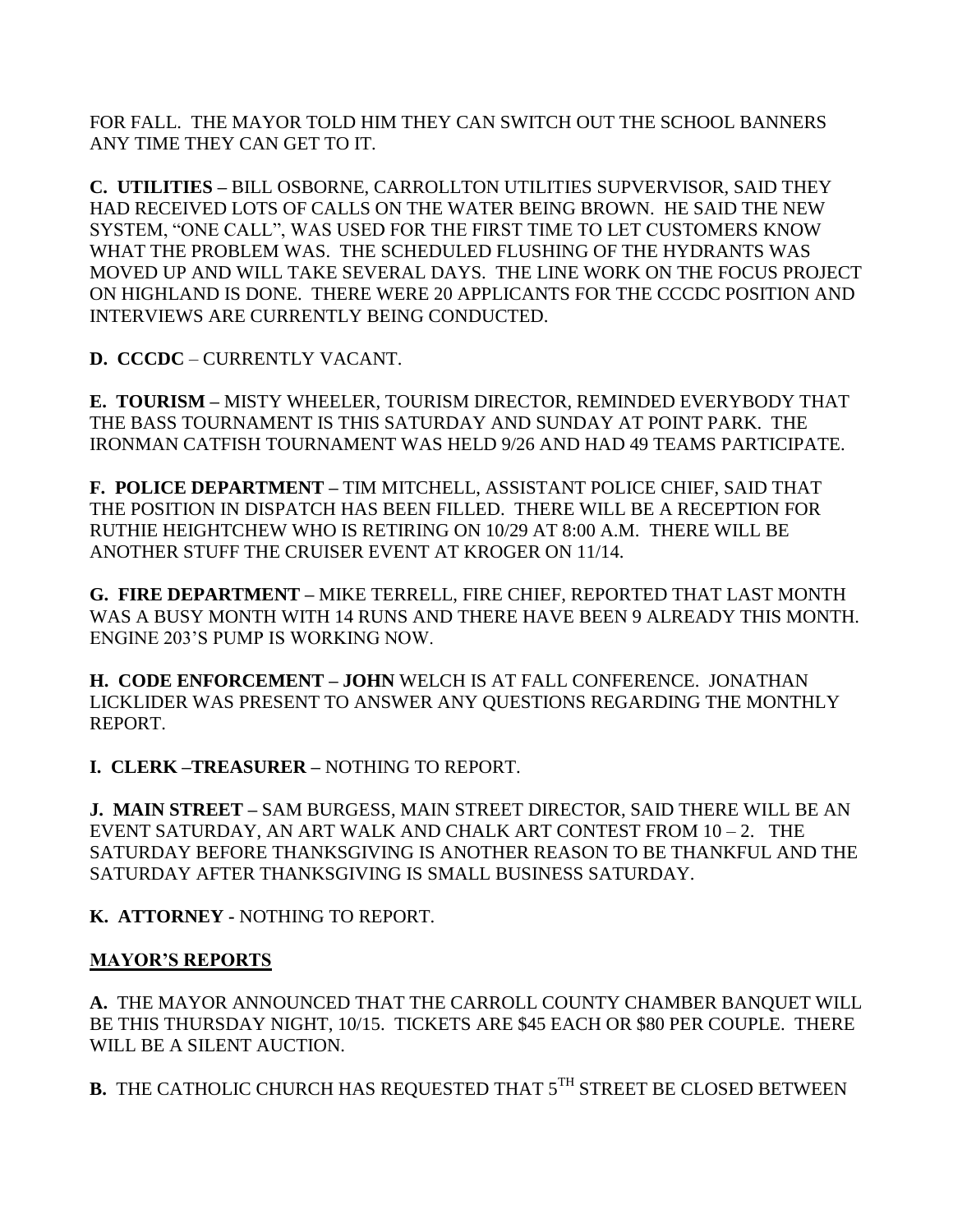FOR FALL. THE MAYOR TOLD HIM THEY CAN SWITCH OUT THE SCHOOL BANNERS ANY TIME THEY CAN GET TO IT.

**C. UTILITIES –** BILL OSBORNE, CARROLLTON UTILITIES SUPVERVISOR, SAID THEY HAD RECEIVED LOTS OF CALLS ON THE WATER BEING BROWN. HE SAID THE NEW SYSTEM, "ONE CALL", WAS USED FOR THE FIRST TIME TO LET CUSTOMERS KNOW WHAT THE PROBLEM WAS. THE SCHEDULED FLUSHING OF THE HYDRANTS WAS MOVED UP AND WILL TAKE SEVERAL DAYS. THE LINE WORK ON THE FOCUS PROJECT ON HIGHLAND IS DONE. THERE WERE 20 APPLICANTS FOR THE CCCDC POSITION AND INTERVIEWS ARE CURRENTLY BEING CONDUCTED.

**D. CCCDC** – CURRENTLY VACANT.

**E. TOURISM –** MISTY WHEELER, TOURISM DIRECTOR, REMINDED EVERYBODY THAT THE BASS TOURNAMENT IS THIS SATURDAY AND SUNDAY AT POINT PARK. THE IRONMAN CATFISH TOURNAMENT WAS HELD 9/26 AND HAD 49 TEAMS PARTICIPATE.

**F. POLICE DEPARTMENT –** TIM MITCHELL, ASSISTANT POLICE CHIEF, SAID THAT THE POSITION IN DISPATCH HAS BEEN FILLED. THERE WILL BE A RECEPTION FOR RUTHIE HEIGHTCHEW WHO IS RETIRING ON 10/29 AT 8:00 A.M. THERE WILL BE ANOTHER STUFF THE CRUISER EVENT AT KROGER ON 11/14.

**G. FIRE DEPARTMENT –** MIKE TERRELL, FIRE CHIEF, REPORTED THAT LAST MONTH WAS A BUSY MONTH WITH 14 RUNS AND THERE HAVE BEEN 9 ALREADY THIS MONTH. ENGINE 203'S PUMP IS WORKING NOW.

**H. CODE ENFORCEMENT – JOHN** WELCH IS AT FALL CONFERENCE. JONATHAN LICKLIDER WAS PRESENT TO ANSWER ANY QUESTIONS REGARDING THE MONTHLY REPORT.

**I. CLERK –TREASURER –** NOTHING TO REPORT.

**J. MAIN STREET –** SAM BURGESS, MAIN STREET DIRECTOR, SAID THERE WILL BE AN EVENT SATURDAY, AN ART WALK AND CHALK ART CONTEST FROM 10 – 2. THE SATURDAY BEFORE THANKSGIVING IS ANOTHER REASON TO BE THANKFUL AND THE SATURDAY AFTER THANKSGIVING IS SMALL BUSINESS SATURDAY.

**K. ATTORNEY -** NOTHING TO REPORT.

# **MAYOR'S REPORTS**

**A.** THE MAYOR ANNOUNCED THAT THE CARROLL COUNTY CHAMBER BANQUET WILL BE THIS THURSDAY NIGHT, 10/15. TICKETS ARE \$45 EACH OR \$80 PER COUPLE. THERE WILL BE A SILENT AUCTION.

**B.** THE CATHOLIC CHURCH HAS REQUESTED THAT 5TH STREET BE CLOSED BETWEEN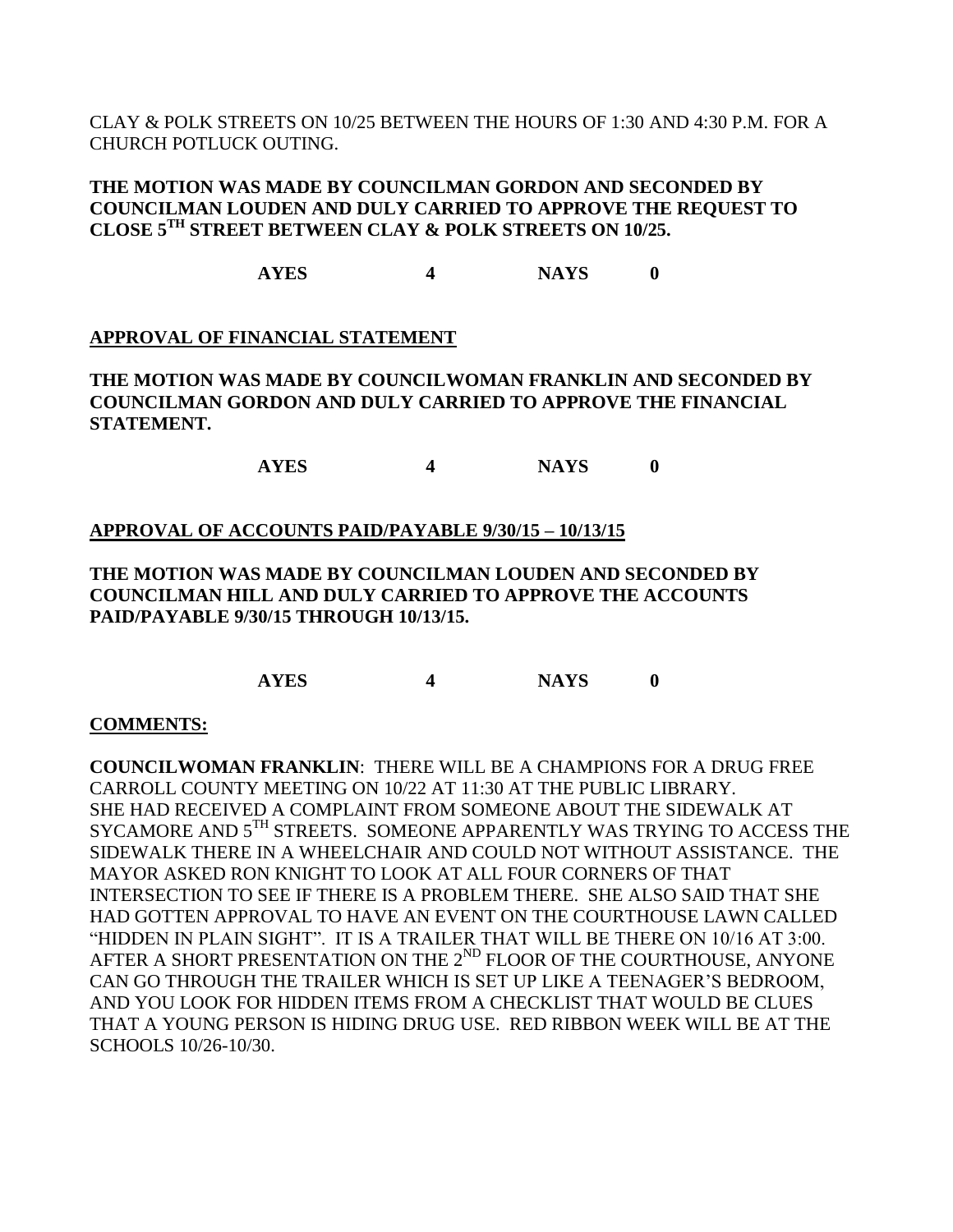CLAY & POLK STREETS ON 10/25 BETWEEN THE HOURS OF 1:30 AND 4:30 P.M. FOR A CHURCH POTLUCK OUTING.

### **THE MOTION WAS MADE BY COUNCILMAN GORDON AND SECONDED BY COUNCILMAN LOUDEN AND DULY CARRIED TO APPROVE THE REQUEST TO CLOSE 5TH STREET BETWEEN CLAY & POLK STREETS ON 10/25.**

**AYES 4 NAYS 0**

# **APPROVAL OF FINANCIAL STATEMENT**

**THE MOTION WAS MADE BY COUNCILWOMAN FRANKLIN AND SECONDED BY COUNCILMAN GORDON AND DULY CARRIED TO APPROVE THE FINANCIAL STATEMENT.**

**AYES 4 NAYS 0**

### **APPROVAL OF ACCOUNTS PAID/PAYABLE 9/30/15 – 10/13/15**

### **THE MOTION WAS MADE BY COUNCILMAN LOUDEN AND SECONDED BY COUNCILMAN HILL AND DULY CARRIED TO APPROVE THE ACCOUNTS PAID/PAYABLE 9/30/15 THROUGH 10/13/15.**

**AYES 4 NAYS 0**

### **COMMENTS:**

**COUNCILWOMAN FRANKLIN**: THERE WILL BE A CHAMPIONS FOR A DRUG FREE CARROLL COUNTY MEETING ON 10/22 AT 11:30 AT THE PUBLIC LIBRARY. SHE HAD RECEIVED A COMPLAINT FROM SOMEONE ABOUT THE SIDEWALK AT SYCAMORE AND  $5^{TH}$  STREETS. SOMEONE APPARENTLY WAS TRYING TO ACCESS THE SIDEWALK THERE IN A WHEELCHAIR AND COULD NOT WITHOUT ASSISTANCE. THE MAYOR ASKED RON KNIGHT TO LOOK AT ALL FOUR CORNERS OF THAT INTERSECTION TO SEE IF THERE IS A PROBLEM THERE. SHE ALSO SAID THAT SHE HAD GOTTEN APPROVAL TO HAVE AN EVENT ON THE COURTHOUSE LAWN CALLED "HIDDEN IN PLAIN SIGHT". IT IS A TRAILER THAT WILL BE THERE ON 10/16 AT 3:00. AFTER A SHORT PRESENTATION ON THE 2<sup>ND</sup> FLOOR OF THE COURTHOUSE, ANYONE CAN GO THROUGH THE TRAILER WHICH IS SET UP LIKE A TEENAGER'S BEDROOM, AND YOU LOOK FOR HIDDEN ITEMS FROM A CHECKLIST THAT WOULD BE CLUES THAT A YOUNG PERSON IS HIDING DRUG USE. RED RIBBON WEEK WILL BE AT THE SCHOOLS 10/26-10/30.